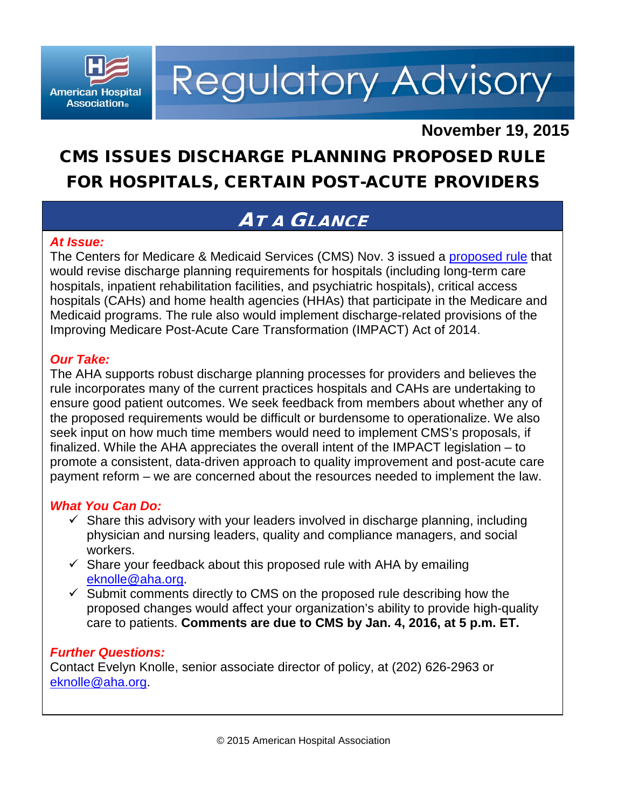

**Regulatory Advisory** 

## **November 19, 2015**

# CMS ISSUES DISCHARGE PLANNING PROPOSED RULE FOR HOSPITALS, CERTAIN POST-ACUTE PROVIDERS

## AT A GLANCE

### *At Issue:*

hospitals, inpatient rehabilitation facilities, and psychiatric hospitals), critical access *The Issue:* Improving Medicare Post-Acute Care Transformation (IMPACT) Act of 2014. The Centers for Medicare & Medicaid Services (CMS) Nov. 3 issued a [proposed rule](http://www.gpo.gov/fdsys/pkg/FR-2015-11-03/pdf/2015-27840.pdf) that would revise discharge planning requirements for hospitals (including long-term care hospitals (CAHs) and home health agencies (HHAs) that participate in the Medicare and Medicaid programs. The rule also would implement discharge-related provisions of the

#### **Our Take:**

ensure good patient outcomes. We seek feedback from members about whether any of seek input on how much time members would need to implement CMS's proposals, if payment reform – we are concerned about the resources needed to implement the law. The AHA supports robust discharge planning processes for providers and believes the rule incorporates many of the current practices hospitals and CAHs are undertaking to the proposed requirements would be difficult or burdensome to operationalize. We also finalized. While the AHA appreciates the overall intent of the IMPACT legislation – to promote a consistent, data-driven approach to quality improvement and post-acute care

### *What You Can Do:*

- physician and nursing leaders, quality and compliance managers, and social<br>we**r**kars  $\checkmark$  Share this advisory with your leaders involved in discharge planning, including workers.
- $\checkmark$  Share your feedback about this proposed rule with AHA by emailing [eknolle@aha.org.](mailto:eknolle@aha.org)
- $\checkmark$  Submit comments directly to CMS on the proposed rule describing how the proposed changes would affect your organization's ability to provide high-quality care to patients. **Comments are due to CMS by Jan. 4, 2016, at 5 p.m. ET.**

#### *Further Questions:*

Contact Evelyn Knolle, senior associate director of policy, at (202) 626-2963 or [eknolle@aha.org.](mailto:eknolle@aha.org)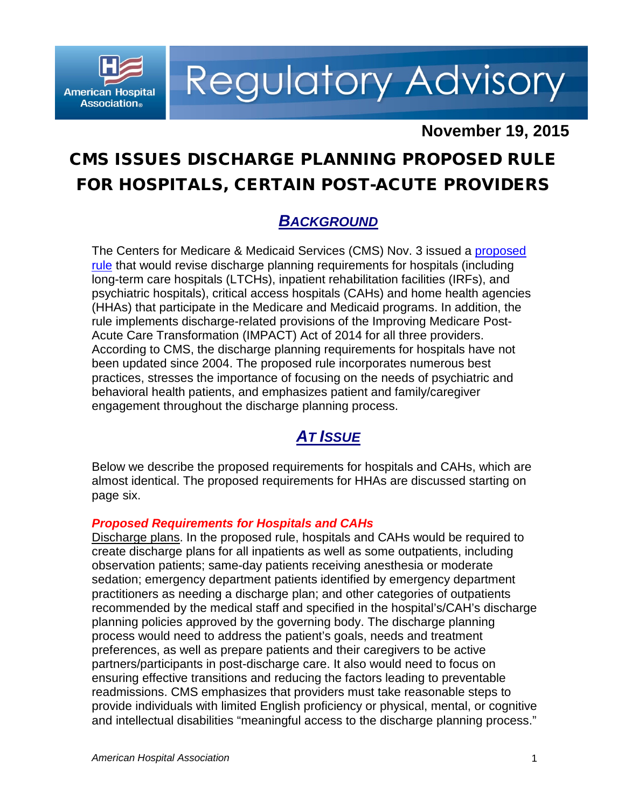

**Regulatory Advisory** 

## **November 19, 2015**

## CMS ISSUES DISCHARGE PLANNING PROPOSED RULE FOR HOSPITALS, CERTAIN POST-ACUTE PROVIDERS

### *BACKGROUND*

The Centers for Medicare & Medicaid Services (CMS) Nov. 3 issued a [proposed](http://www.gpo.gov/fdsys/pkg/FR-2015-11-03/pdf/2015-27840.pdf)  [rule](http://www.gpo.gov/fdsys/pkg/FR-2015-11-03/pdf/2015-27840.pdf) that would revise discharge planning requirements for hospitals (including long-term care hospitals (LTCHs), inpatient rehabilitation facilities (IRFs), and psychiatric hospitals), critical access hospitals (CAHs) and home health agencies (HHAs) that participate in the Medicare and Medicaid programs. In addition, the rule implements discharge-related provisions of the Improving Medicare Post-Acute Care Transformation (IMPACT) Act of 2014 for all three providers. According to CMS, the discharge planning requirements for hospitals have not been updated since 2004. The proposed rule incorporates numerous best practices, stresses the importance of focusing on the needs of psychiatric and behavioral health patients, and emphasizes patient and family/caregiver engagement throughout the discharge planning process.

### *AT ISSUE*

Below we describe the proposed requirements for hospitals and CAHs, which are almost identical. The proposed requirements for HHAs are discussed starting on page six.

#### *Proposed Requirements for Hospitals and CAHs*

Discharge plans. In the proposed rule, hospitals and CAHs would be required to create discharge plans for all inpatients as well as some outpatients, including observation patients; same-day patients receiving anesthesia or moderate sedation; emergency department patients identified by emergency department practitioners as needing a discharge plan; and other categories of outpatients recommended by the medical staff and specified in the hospital's/CAH's discharge planning policies approved by the governing body. The discharge planning process would need to address the patient's goals, needs and treatment preferences, as well as prepare patients and their caregivers to be active partners/participants in post-discharge care. It also would need to focus on ensuring effective transitions and reducing the factors leading to preventable readmissions. CMS emphasizes that providers must take reasonable steps to provide individuals with limited English proficiency or physical, mental, or cognitive and intellectual disabilities "meaningful access to the discharge planning process."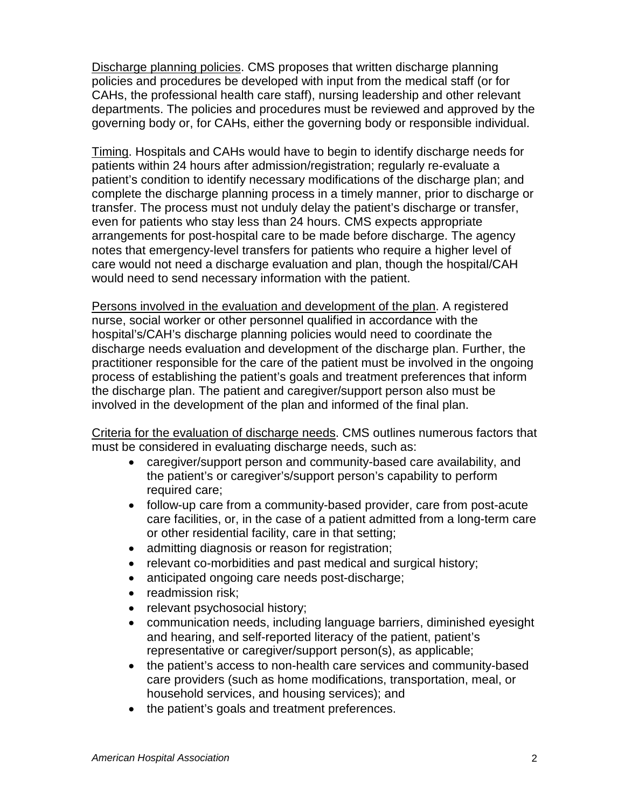Discharge planning policies. CMS proposes that written discharge planning policies and procedures be developed with input from the medical staff (or for CAHs, the professional health care staff), nursing leadership and other relevant departments. The policies and procedures must be reviewed and approved by the governing body or, for CAHs, either the governing body or responsible individual.

Timing. Hospitals and CAHs would have to begin to identify discharge needs for patients within 24 hours after admission/registration; regularly re-evaluate a patient's condition to identify necessary modifications of the discharge plan; and complete the discharge planning process in a timely manner, prior to discharge or transfer. The process must not unduly delay the patient's discharge or transfer, even for patients who stay less than 24 hours. CMS expects appropriate arrangements for post-hospital care to be made before discharge. The agency notes that emergency-level transfers for patients who require a higher level of care would not need a discharge evaluation and plan, though the hospital/CAH would need to send necessary information with the patient.

Persons involved in the evaluation and development of the plan. A registered nurse, social worker or other personnel qualified in accordance with the hospital's/CAH's discharge planning policies would need to coordinate the discharge needs evaluation and development of the discharge plan. Further, the practitioner responsible for the care of the patient must be involved in the ongoing process of establishing the patient's goals and treatment preferences that inform the discharge plan. The patient and caregiver/support person also must be involved in the development of the plan and informed of the final plan.

Criteria for the evaluation of discharge needs. CMS outlines numerous factors that must be considered in evaluating discharge needs, such as:

- caregiver/support person and community-based care availability, and the patient's or caregiver's/support person's capability to perform required care;
- follow-up care from a community-based provider, care from post-acute care facilities, or, in the case of a patient admitted from a long-term care or other residential facility, care in that setting;
- admitting diagnosis or reason for registration;
- relevant co-morbidities and past medical and surgical history;
- anticipated ongoing care needs post-discharge;
- readmission risk;
- relevant psychosocial history;
- communication needs, including language barriers, diminished eyesight and hearing, and self-reported literacy of the patient, patient's representative or caregiver/support person(s), as applicable;
- the patient's access to non-health care services and community-based care providers (such as home modifications, transportation, meal, or household services, and housing services); and
- the patient's goals and treatment preferences.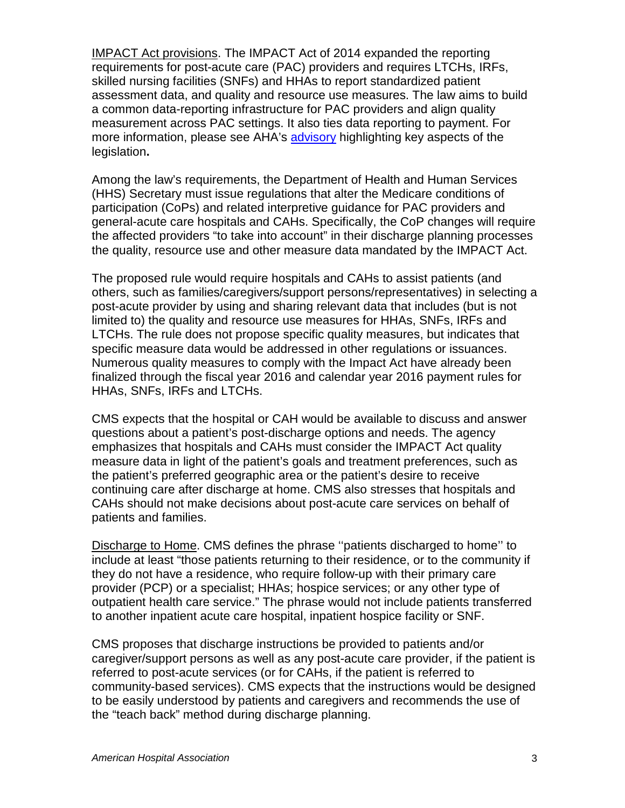IMPACT Act provisions. The IMPACT Act of 2014 expanded the reporting requirements for post-acute care (PAC) providers and requires LTCHs, IRFs, skilled nursing facilities (SNFs) and HHAs to report standardized patient assessment data, and quality and resource use measures. The law aims to build a common data-reporting infrastructure for PAC providers and align quality measurement across PAC settings. It also ties data reporting to payment. For more information, please see AHA's [advisory](http://www.aha.org/hospital-members/advocacy-issues/tools-resources/advisory/2014/141016-legislative-adv.pdf) highlighting key aspects of the legislation**.**

Among the law's requirements, the Department of Health and Human Services (HHS) Secretary must issue regulations that alter the Medicare conditions of participation (CoPs) and related interpretive guidance for PAC providers and general-acute care hospitals and CAHs. Specifically, the CoP changes will require the affected providers "to take into account" in their discharge planning processes the quality, resource use and other measure data mandated by the IMPACT Act.

The proposed rule would require hospitals and CAHs to assist patients (and others, such as families/caregivers/support persons/representatives) in selecting a post-acute provider by using and sharing relevant data that includes (but is not limited to) the quality and resource use measures for HHAs, SNFs, IRFs and LTCHs. The rule does not propose specific quality measures, but indicates that specific measure data would be addressed in other regulations or issuances. Numerous quality measures to comply with the Impact Act have already been finalized through the fiscal year 2016 and calendar year 2016 payment rules for HHAs, SNFs, IRFs and LTCHs.

CMS expects that the hospital or CAH would be available to discuss and answer questions about a patient's post-discharge options and needs. The agency emphasizes that hospitals and CAHs must consider the IMPACT Act quality measure data in light of the patient's goals and treatment preferences, such as the patient's preferred geographic area or the patient's desire to receive continuing care after discharge at home. CMS also stresses that hospitals and CAHs should not make decisions about post-acute care services on behalf of patients and families.

Discharge to Home. CMS defines the phrase ''patients discharged to home'' to include at least "those patients returning to their residence, or to the community if they do not have a residence, who require follow-up with their primary care provider (PCP) or a specialist; HHAs; hospice services; or any other type of outpatient health care service." The phrase would not include patients transferred to another inpatient acute care hospital, inpatient hospice facility or SNF.

CMS proposes that discharge instructions be provided to patients and/or caregiver/support persons as well as any post-acute care provider, if the patient is referred to post-acute services (or for CAHs, if the patient is referred to community-based services). CMS expects that the instructions would be designed to be easily understood by patients and caregivers and recommends the use of the "teach back" method during discharge planning.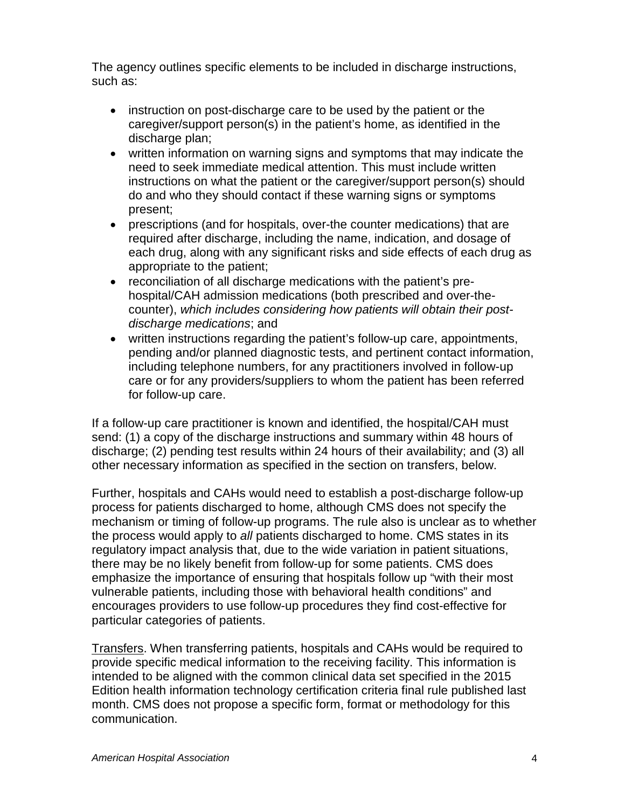The agency outlines specific elements to be included in discharge instructions, such as:

- instruction on post-discharge care to be used by the patient or the caregiver/support person(s) in the patient's home, as identified in the discharge plan;
- written information on warning signs and symptoms that may indicate the need to seek immediate medical attention. This must include written instructions on what the patient or the caregiver/support person(s) should do and who they should contact if these warning signs or symptoms present;
- prescriptions (and for hospitals, over-the counter medications) that are required after discharge, including the name, indication, and dosage of each drug, along with any significant risks and side effects of each drug as appropriate to the patient;
- reconciliation of all discharge medications with the patient's prehospital/CAH admission medications (both prescribed and over-thecounter), *which includes considering how patients will obtain their postdischarge medications*; and
- written instructions regarding the patient's follow-up care, appointments, pending and/or planned diagnostic tests, and pertinent contact information, including telephone numbers, for any practitioners involved in follow-up care or for any providers/suppliers to whom the patient has been referred for follow-up care.

If a follow-up care practitioner is known and identified, the hospital/CAH must send: (1) a copy of the discharge instructions and summary within 48 hours of discharge; (2) pending test results within 24 hours of their availability; and (3) all other necessary information as specified in the section on transfers, below.

Further, hospitals and CAHs would need to establish a post-discharge follow-up process for patients discharged to home, although CMS does not specify the mechanism or timing of follow-up programs. The rule also is unclear as to whether the process would apply to *all* patients discharged to home. CMS states in its regulatory impact analysis that, due to the wide variation in patient situations, there may be no likely benefit from follow-up for some patients. CMS does emphasize the importance of ensuring that hospitals follow up "with their most vulnerable patients, including those with behavioral health conditions" and encourages providers to use follow-up procedures they find cost-effective for particular categories of patients.

Transfers. When transferring patients, hospitals and CAHs would be required to provide specific medical information to the receiving facility. This information is intended to be aligned with the common clinical data set specified in the 2015 Edition health information technology certification criteria final rule published last month. CMS does not propose a specific form, format or methodology for this communication.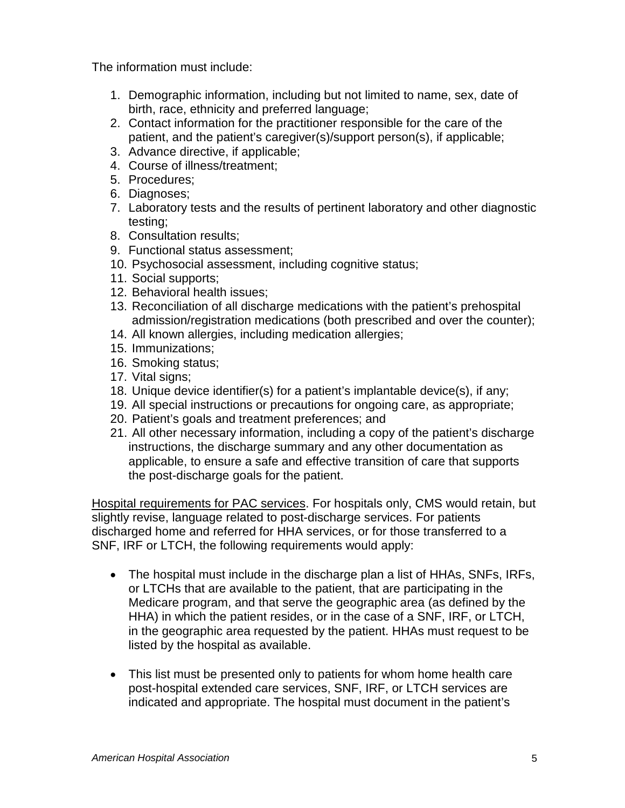The information must include:

- 1. Demographic information, including but not limited to name, sex, date of birth, race, ethnicity and preferred language;
- 2. Contact information for the practitioner responsible for the care of the patient, and the patient's caregiver(s)/support person(s), if applicable;
- 3. Advance directive, if applicable;
- 4. Course of illness/treatment;
- 5. Procedures;
- 6. Diagnoses;
- 7. Laboratory tests and the results of pertinent laboratory and other diagnostic testing;
- 8. Consultation results;
- 9. Functional status assessment;
- 10. Psychosocial assessment, including cognitive status;
- 11. Social supports;
- 12. Behavioral health issues;
- 13. Reconciliation of all discharge medications with the patient's prehospital admission/registration medications (both prescribed and over the counter);
- 14. All known allergies, including medication allergies;
- 15. Immunizations;
- 16. Smoking status;
- 17. Vital signs;
- 18. Unique device identifier(s) for a patient's implantable device(s), if any;
- 19. All special instructions or precautions for ongoing care, as appropriate;
- 20. Patient's goals and treatment preferences; and
- 21. All other necessary information, including a copy of the patient's discharge instructions, the discharge summary and any other documentation as applicable, to ensure a safe and effective transition of care that supports the post-discharge goals for the patient.

Hospital requirements for PAC services. For hospitals only, CMS would retain, but slightly revise, language related to post-discharge services. For patients discharged home and referred for HHA services, or for those transferred to a SNF, IRF or LTCH, the following requirements would apply:

- The hospital must include in the discharge plan a list of HHAs, SNFs, IRFs, or LTCHs that are available to the patient, that are participating in the Medicare program, and that serve the geographic area (as defined by the HHA) in which the patient resides, or in the case of a SNF, IRF, or LTCH, in the geographic area requested by the patient. HHAs must request to be listed by the hospital as available.
- This list must be presented only to patients for whom home health care post-hospital extended care services, SNF, IRF, or LTCH services are indicated and appropriate. The hospital must document in the patient's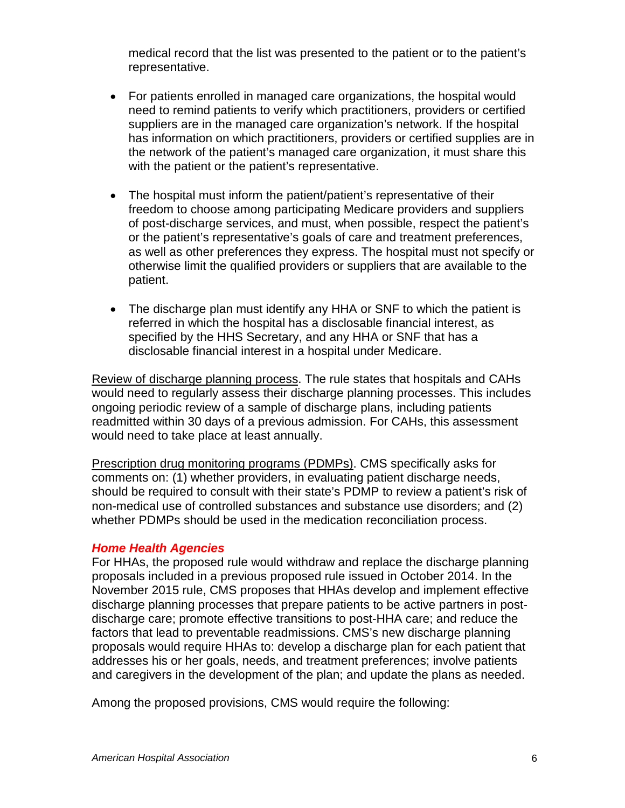medical record that the list was presented to the patient or to the patient's representative.

- For patients enrolled in managed care organizations, the hospital would need to remind patients to verify which practitioners, providers or certified suppliers are in the managed care organization's network. If the hospital has information on which practitioners, providers or certified supplies are in the network of the patient's managed care organization, it must share this with the patient or the patient's representative.
- The hospital must inform the patient/patient's representative of their freedom to choose among participating Medicare providers and suppliers of post-discharge services, and must, when possible, respect the patient's or the patient's representative's goals of care and treatment preferences, as well as other preferences they express. The hospital must not specify or otherwise limit the qualified providers or suppliers that are available to the patient.
- The discharge plan must identify any HHA or SNF to which the patient is referred in which the hospital has a disclosable financial interest, as specified by the HHS Secretary, and any HHA or SNF that has a disclosable financial interest in a hospital under Medicare.

Review of discharge planning process. The rule states that hospitals and CAHs would need to regularly assess their discharge planning processes. This includes ongoing periodic review of a sample of discharge plans, including patients readmitted within 30 days of a previous admission. For CAHs, this assessment would need to take place at least annually.

Prescription drug monitoring programs (PDMPs). CMS specifically asks for comments on: (1) whether providers, in evaluating patient discharge needs, should be required to consult with their state's PDMP to review a patient's risk of non-medical use of controlled substances and substance use disorders; and (2) whether PDMPs should be used in the medication reconciliation process.

#### *Home Health Agencies*

For HHAs, the proposed rule would withdraw and replace the discharge planning proposals included in a previous proposed rule issued in October 2014. In the November 2015 rule, CMS proposes that HHAs develop and implement effective discharge planning processes that prepare patients to be active partners in postdischarge care; promote effective transitions to post-HHA care; and reduce the factors that lead to preventable readmissions. CMS's new discharge planning proposals would require HHAs to: develop a discharge plan for each patient that addresses his or her goals, needs, and treatment preferences; involve patients and caregivers in the development of the plan; and update the plans as needed.

Among the proposed provisions, CMS would require the following: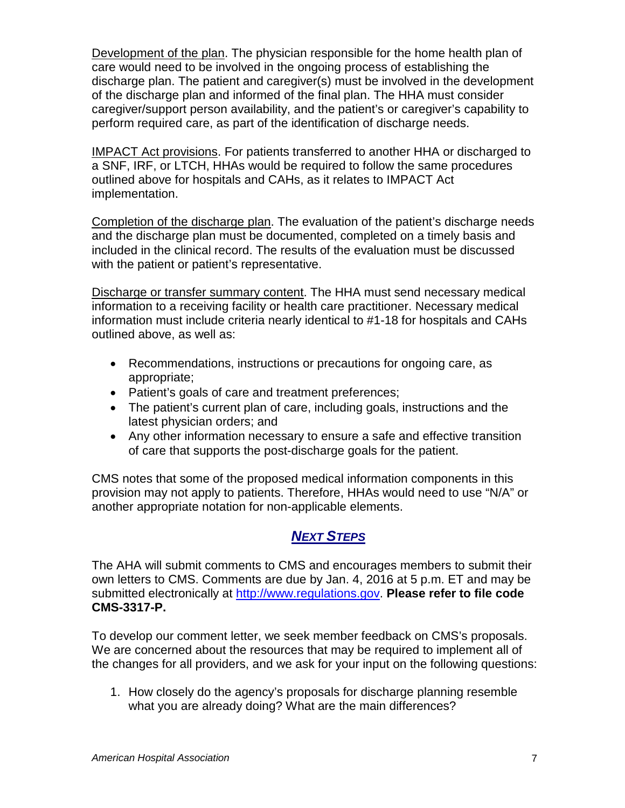Development of the plan. The physician responsible for the home health plan of care would need to be involved in the ongoing process of establishing the discharge plan. The patient and caregiver(s) must be involved in the development of the discharge plan and informed of the final plan. The HHA must consider caregiver/support person availability, and the patient's or caregiver's capability to perform required care, as part of the identification of discharge needs.

IMPACT Act provisions. For patients transferred to another HHA or discharged to a SNF, IRF, or LTCH, HHAs would be required to follow the same procedures outlined above for hospitals and CAHs, as it relates to IMPACT Act implementation.

Completion of the discharge plan. The evaluation of the patient's discharge needs and the discharge plan must be documented, completed on a timely basis and included in the clinical record. The results of the evaluation must be discussed with the patient or patient's representative.

Discharge or transfer summary content. The HHA must send necessary medical information to a receiving facility or health care practitioner. Necessary medical information must include criteria nearly identical to #1-18 for hospitals and CAHs outlined above, as well as:

- Recommendations, instructions or precautions for ongoing care, as appropriate;
- Patient's goals of care and treatment preferences;
- The patient's current plan of care, including goals, instructions and the latest physician orders; and
- Any other information necessary to ensure a safe and effective transition of care that supports the post-discharge goals for the patient.

CMS notes that some of the proposed medical information components in this provision may not apply to patients. Therefore, HHAs would need to use "N/A" or another appropriate notation for non-applicable elements.

### *NEXT STEPS*

The AHA will submit comments to CMS and encourages members to submit their own letters to CMS. Comments are due by Jan. 4, 2016 at 5 p.m. ET and may be submitted electronically at [http://www.regulations.gov.](http://www.regulations.gov/) **Please refer to file code CMS-3317-P.** 

To develop our comment letter, we seek member feedback on CMS's proposals. We are concerned about the resources that may be required to implement all of the changes for all providers, and we ask for your input on the following questions:

1. How closely do the agency's proposals for discharge planning resemble what you are already doing? What are the main differences?